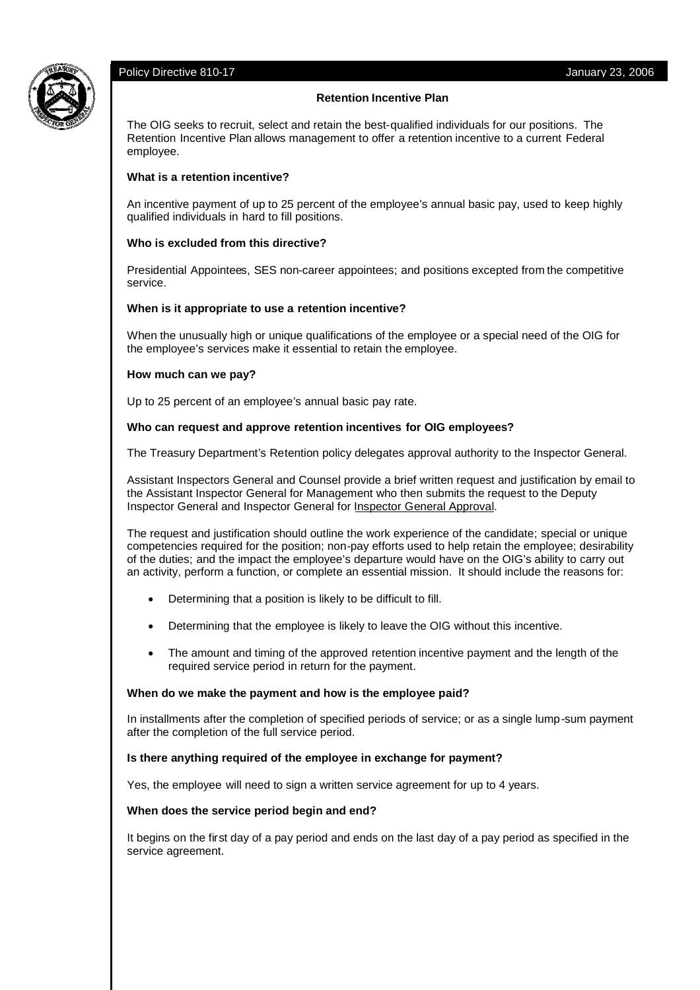# Policy Directive 810-17 **Value 2006** 2006 2006 2012 2006 2012 2006 2014 2022 2006



# **Retention Incentive Plan**

The OIG seeks to recruit, select and retain the best-qualified individuals for our positions. The Retention Incentive Plan allows management to offer a retention incentive to a current Federal employee.

# **What is a retention incentive?**

An incentive payment of up to 25 percent of the employee's annual basic pay, used to keep highly qualified individuals in hard to fill positions.

# **Who is excluded from this directive?**

Presidential Appointees, SES non-career appointees; and positions excepted from the competitive service.

# **When is it appropriate to use a retention incentive?**

When the unusually high or unique qualifications of the employee or a special need of the OIG for the employee's services make it essential to retain the employee.

#### **How much can we pay?**

Up to 25 percent of an employee's annual basic pay rate.

# **Who can request and approve retention incentives for OIG employees?**

The Treasury Department's Retention policy delegates approval authority to the Inspector General.

Assistant Inspectors General and Counsel provide a brief written request and justification by email to the Assistant Inspector General for Management who then submits the request to the Deputy Inspector General and Inspector General for Inspector General Approval.

The request and justification should outline the work experience of the candidate; special or unique competencies required for the position; non-pay efforts used to help retain the employee; desirability of the duties; and the impact the employee's departure would have on the OIG's ability to carry out an activity, perform a function, or complete an essential mission. It should include the reasons for:

- Determining that a position is likely to be difficult to fill.
- Determining that the employee is likely to leave the OIG without this incentive.
- The amount and timing of the approved retention incentive payment and the length of the required service period in return for the payment.

#### **When do we make the payment and how is the employee paid?**

In installments after the completion of specified periods of service; or as a single lump-sum payment after the completion of the full service period.

# **Is there anything required of the employee in exchange for payment?**

Yes, the employee will need to sign a written service agreement for up to 4 years.

#### **When does the service period begin and end?**

It begins on the first day of a pay period and ends on the last day of a pay period as specified in the service agreement.